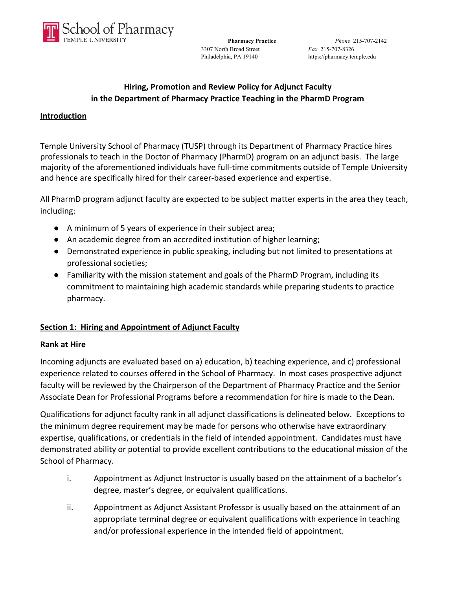

3307 North Broad Street *Fax* 215-707-8326

# **Hiring, Promotion and Review Policy for Adjunct Faculty in the Department of Pharmacy Practice Teaching in the PharmD Program**

#### **Introduction**

Temple University School of Pharmacy (TUSP) through its Department of Pharmacy Practice hires professionals to teach in the Doctor of Pharmacy (PharmD) program on an adjunct basis. The large majority of the aforementioned individuals have full-time commitments outside of Temple University and hence are specifically hired for their career-based experience and expertise.

All PharmD program adjunct faculty are expected to be subject matter experts in the area they teach, including:

- A minimum of 5 years of experience in their subject area;
- An academic degree from an accredited institution of higher learning;
- Demonstrated experience in public speaking, including but not limited to presentations at professional societies;
- Familiarity with the mission statement and goals of the PharmD Program, including its commitment to maintaining high academic standards while preparing students to practice pharmacy.

### **Section 1: Hiring and Appointment of Adjunct Faculty**

#### **Rank at Hire**

Incoming adjuncts are evaluated based on a) education, b) teaching experience, and c) professional experience related to courses offered in the School of Pharmacy. In most cases prospective adjunct faculty will be reviewed by the Chairperson of the Department of Pharmacy Practice and the Senior Associate Dean for Professional Programs before a recommendation for hire is made to the Dean.

Qualifications for adjunct faculty rank in all adjunct classifications is delineated below. Exceptions to the minimum degree requirement may be made for persons who otherwise have extraordinary expertise, qualifications, or credentials in the field of intended appointment. Candidates must have demonstrated ability or potential to provide excellent contributions to the educational mission of the School of Pharmacy.

- i. Appointment as Adjunct Instructor is usually based on the attainment of a bachelor's degree, master's degree, or equivalent qualifications.
- ii. Appointment as Adjunct Assistant Professor is usually based on the attainment of an appropriate terminal degree or equivalent qualifications with experience in teaching and/or professional experience in the intended field of appointment.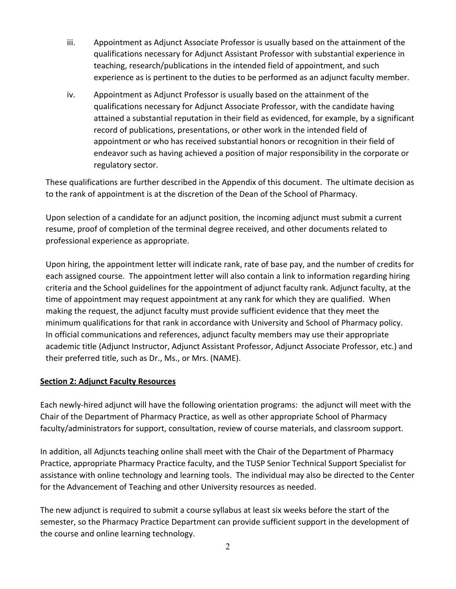- iii. Appointment as Adjunct Associate Professor is usually based on the attainment of the qualifications necessary for Adjunct Assistant Professor with substantial experience in teaching, research/publications in the intended field of appointment, and such experience as is pertinent to the duties to be performed as an adjunct faculty member.
- iv. Appointment as Adjunct Professor is usually based on the attainment of the qualifications necessary for Adjunct Associate Professor, with the candidate having attained a substantial reputation in their field as evidenced, for example, by a significant record of publications, presentations, or other work in the intended field of appointment or who has received substantial honors or recognition in their field of endeavor such as having achieved a position of major responsibility in the corporate or regulatory sector.

These qualifications are further described in the Appendix of this document. The ultimate decision as to the rank of appointment is at the discretion of the Dean of the School of Pharmacy.

Upon selection of a candidate for an adjunct position, the incoming adjunct must submit a current resume, proof of completion of the terminal degree received, and other documents related to professional experience as appropriate.

Upon hiring, the appointment letter will indicate rank, rate of base pay, and the number of credits for each assigned course. The appointment letter will also contain a link to information regarding hiring criteria and the School guidelines for the appointment of adjunct faculty rank. Adjunct faculty, at the time of appointment may request appointment at any rank for which they are qualified. When making the request, the adjunct faculty must provide sufficient evidence that they meet the minimum qualifications for that rank in accordance with University and School of Pharmacy policy. In official communications and references, adjunct faculty members may use their appropriate academic title (Adjunct Instructor, Adjunct Assistant Professor, Adjunct Associate Professor, etc.) and their preferred title, such as Dr., Ms., or Mrs. (NAME).

### **Section 2: Adjunct Faculty Resources**

Each newly-hired adjunct will have the following orientation programs: the adjunct will meet with the Chair of the Department of Pharmacy Practice, as well as other appropriate School of Pharmacy faculty/administrators for support, consultation, review of course materials, and classroom support.

In addition, all Adjuncts teaching online shall meet with the Chair of the Department of Pharmacy Practice, appropriate Pharmacy Practice faculty, and the TUSP Senior Technical Support Specialist for assistance with online technology and learning tools. The individual may also be directed to the Center for the Advancement of Teaching and other University resources as needed.

The new adjunct is required to submit a course syllabus at least six weeks before the start of the semester, so the Pharmacy Practice Department can provide sufficient support in the development of the course and online learning technology.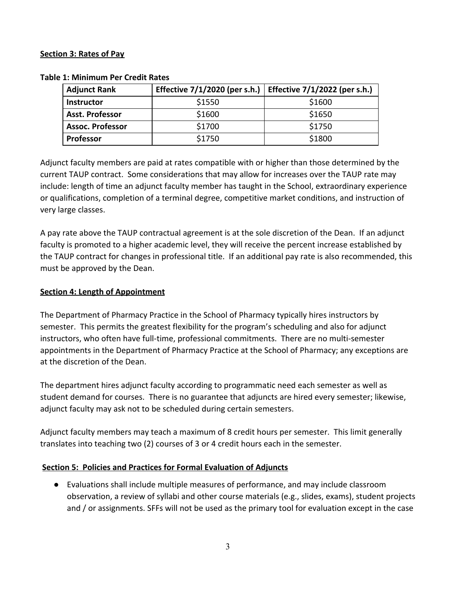#### **Section 3: Rates of Pay**

| <b>Adjunct Rank</b>     | Effective 7/1/2020 (per s.h.) | Effective 7/1/2022 (per s.h.) |
|-------------------------|-------------------------------|-------------------------------|
| <b>Instructor</b>       | \$1550                        | \$1600                        |
| <b>Asst. Professor</b>  | \$1600                        | \$1650                        |
| <b>Assoc. Professor</b> | \$1700                        | \$1750                        |
| <b>Professor</b>        | \$1750                        | \$1800                        |

#### **Table 1: Minimum Per Credit Rates**

Adjunct faculty members are paid at rates compatible with or higher than those determined by the current TAUP contract. Some considerations that may allow for increases over the TAUP rate may include: length of time an adjunct faculty member has taught in the School, extraordinary experience or qualifications, completion of a terminal degree, competitive market conditions, and instruction of very large classes.

A pay rate above the TAUP contractual agreement is at the sole discretion of the Dean. If an adjunct faculty is promoted to a higher academic level, they will receive the percent increase established by the TAUP contract for changes in professional title. If an additional pay rate is also recommended, this must be approved by the Dean.

### **Section 4: Length of Appointment**

The Department of Pharmacy Practice in the School of Pharmacy typically hires instructors by semester. This permits the greatest flexibility for the program's scheduling and also for adjunct instructors, who often have full-time, professional commitments. There are no multi-semester appointments in the Department of Pharmacy Practice at the School of Pharmacy; any exceptions are at the discretion of the Dean.

The department hires adjunct faculty according to programmatic need each semester as well as student demand for courses. There is no guarantee that adjuncts are hired every semester; likewise, adjunct faculty may ask not to be scheduled during certain semesters.

Adjunct faculty members may teach a maximum of 8 credit hours per semester. This limit generally translates into teaching two (2) courses of 3 or 4 credit hours each in the semester.

### **Section 5: Policies and Practices for Formal Evaluation of Adjuncts**

● Evaluations shall include multiple measures of performance, and may include classroom observation, a review of syllabi and other course materials (e.g., slides, exams), student projects and / or assignments. SFFs will not be used as the primary tool for evaluation except in the case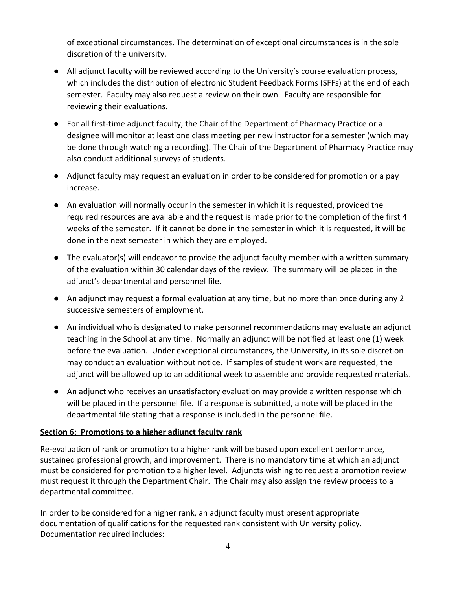of exceptional circumstances. The determination of exceptional circumstances is in the sole discretion of the university.

- All adjunct faculty will be reviewed according to the University's course evaluation process, which includes the distribution of electronic Student Feedback Forms (SFFs) at the end of each semester. Faculty may also request a review on their own. Faculty are responsible for reviewing their evaluations.
- For all first-time adjunct faculty, the Chair of the Department of Pharmacy Practice or a designee will monitor at least one class meeting per new instructor for a semester (which may be done through watching a recording). The Chair of the Department of Pharmacy Practice may also conduct additional surveys of students.
- Adjunct faculty may request an evaluation in order to be considered for promotion or a pay increase.
- An evaluation will normally occur in the semester in which it is requested, provided the required resources are available and the request is made prior to the completion of the first 4 weeks of the semester. If it cannot be done in the semester in which it is requested, it will be done in the next semester in which they are employed.
- The evaluator(s) will endeavor to provide the adjunct faculty member with a written summary of the evaluation within 30 calendar days of the review. The summary will be placed in the adjunct's departmental and personnel file.
- An adjunct may request a formal evaluation at any time, but no more than once during any 2 successive semesters of employment.
- An individual who is designated to make personnel recommendations may evaluate an adjunct teaching in the School at any time. Normally an adjunct will be notified at least one (1) week before the evaluation. Under exceptional circumstances, the University, in its sole discretion may conduct an evaluation without notice. If samples of student work are requested, the adjunct will be allowed up to an additional week to assemble and provide requested materials.
- An adjunct who receives an unsatisfactory evaluation may provide a written response which will be placed in the personnel file. If a response is submitted, a note will be placed in the departmental file stating that a response is included in the personnel file.

### **Section 6: Promotions to a higher adjunct faculty rank**

Re-evaluation of rank or promotion to a higher rank will be based upon excellent performance, sustained professional growth, and improvement. There is no mandatory time at which an adjunct must be considered for promotion to a higher level. Adjuncts wishing to request a promotion review must request it through the Department Chair. The Chair may also assign the review process to a departmental committee.

In order to be considered for a higher rank, an adjunct faculty must present appropriate documentation of qualifications for the requested rank consistent with University policy. Documentation required includes: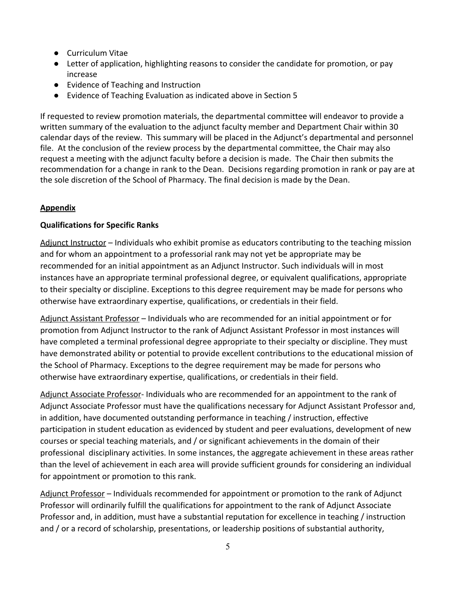- Curriculum Vitae
- Letter of application, highlighting reasons to consider the candidate for promotion, or pay increase
- Evidence of Teaching and Instruction
- Evidence of Teaching Evaluation as indicated above in Section 5

If requested to review promotion materials, the departmental committee will endeavor to provide a written summary of the evaluation to the adjunct faculty member and Department Chair within 30 calendar days of the review. This summary will be placed in the Adjunct's departmental and personnel file. At the conclusion of the review process by the departmental committee, the Chair may also request a meeting with the adjunct faculty before a decision is made. The Chair then submits the recommendation for a change in rank to the Dean. Decisions regarding promotion in rank or pay are at the sole discretion of the School of Pharmacy. The final decision is made by the Dean.

# **Appendix**

### **Qualifications for Specific Ranks**

Adjunct Instructor – Individuals who exhibit promise as educators contributing to the teaching mission and for whom an appointment to a professorial rank may not yet be appropriate may be recommended for an initial appointment as an Adjunct Instructor. Such individuals will in most instances have an appropriate terminal professional degree, or equivalent qualifications, appropriate to their specialty or discipline. Exceptions to this degree requirement may be made for persons who otherwise have extraordinary expertise, qualifications, or credentials in their field.

Adjunct Assistant Professor - Individuals who are recommended for an initial appointment or for promotion from Adjunct Instructor to the rank of Adjunct Assistant Professor in most instances will have completed a terminal professional degree appropriate to their specialty or discipline. They must have demonstrated ability or potential to provide excellent contributions to the educational mission of the School of Pharmacy. Exceptions to the degree requirement may be made for persons who otherwise have extraordinary expertise, qualifications, or credentials in their field.

Adjunct Associate Professor- Individuals who are recommended for an appointment to the rank of Adjunct Associate Professor must have the qualifications necessary for Adjunct Assistant Professor and, in addition, have documented outstanding performance in teaching / instruction, effective participation in student education as evidenced by student and peer evaluations, development of new courses or special teaching materials, and / or significant achievements in the domain of their professional disciplinary activities. In some instances, the aggregate achievement in these areas rather than the level of achievement in each area will provide sufficient grounds for considering an individual for appointment or promotion to this rank.

Adjunct Professor – Individuals recommended for appointment or promotion to the rank of Adjunct Professor will ordinarily fulfill the qualifications for appointment to the rank of Adjunct Associate Professor and, in addition, must have a substantial reputation for excellence in teaching / instruction and / or a record of scholarship, presentations, or leadership positions of substantial authority,